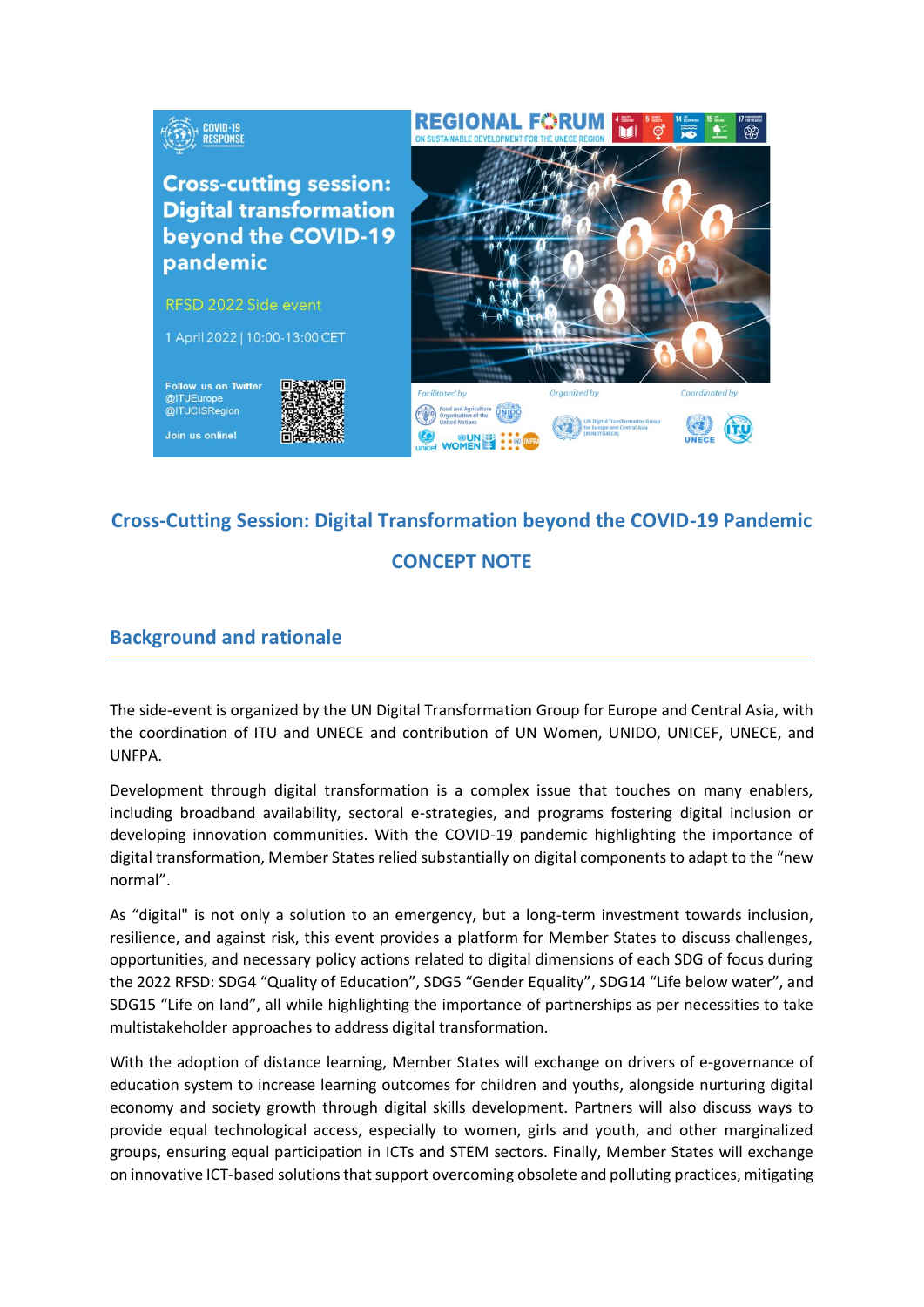

# **Cross-Cutting Session: Digital Transformation beyond the COVID-19 Pandemic**

# **CONCEPT NOTE**

# **Background and rationale**

The side-event is organized by the UN Digital Transformation Group for Europe and Central Asia, with the coordination of ITU and UNECE and contribution of UN Women, UNIDO, UNICEF, UNECE, and UNFPA.

Development through digital transformation is a complex issue that touches on many enablers, including broadband availability, sectoral e-strategies, and programs fostering digital inclusion or developing innovation communities. With the COVID-19 pandemic highlighting the importance of digital transformation, Member States relied substantially on digital components to adapt to the "new normal".

As "digital" is not only a solution to an emergency, but a long-term investment towards inclusion, resilience, and against risk, this event provides a platform for Member States to discuss challenges, opportunities, and necessary policy actions related to digital dimensions of each SDG of focus during the 2022 RFSD: SDG4 "Quality of Education", SDG5 "Gender Equality", SDG14 "Life below water", and SDG15 "Life on land", all while highlighting the importance of partnerships as per necessities to take multistakeholder approaches to address digital transformation.

With the adoption of distance learning, Member States will exchange on drivers of e-governance of education system to increase learning outcomes for children and youths, alongside nurturing digital economy and society growth through digital skills development. Partners will also discuss ways to provide equal technological access, especially to women, girls and youth, and other marginalized groups, ensuring equal participation in ICTs and STEM sectors. Finally, Member States will exchange on innovative ICT-based solutions that support overcoming obsolete and polluting practices, mitigating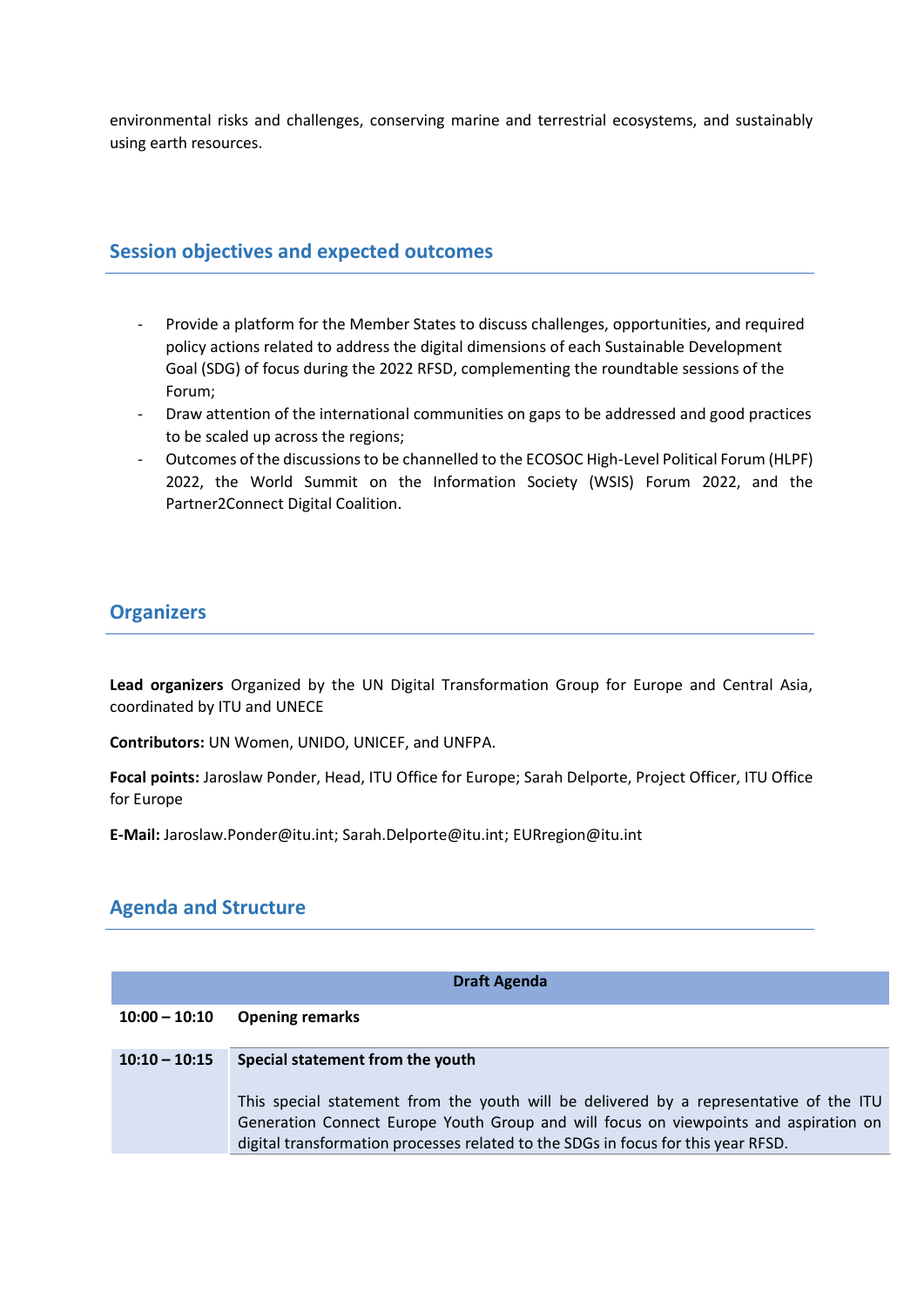environmental risks and challenges, conserving marine and terrestrial ecosystems, and sustainably using earth resources.

## **Session objectives and expected outcomes**

- Provide a platform for the Member States to discuss challenges, opportunities, and required policy actions related to address the digital dimensions of each Sustainable Development Goal (SDG) of focus during the 2022 RFSD, complementing the roundtable sessions of the Forum;
- Draw attention of the international communities on gaps to be addressed and good practices to be scaled up across the regions;
- Outcomes of the discussions to be channelled to the ECOSOC High-Level Political Forum (HLPF) 2022, the World Summit on the Information Society (WSIS) Forum 2022, and the Partner2Connect Digital Coalition.

# **Organizers**

**Lead organizers** Organized by the UN Digital Transformation Group for Europe and Central Asia, coordinated by ITU and UNECE

**Contributors:** UN Women, UNIDO, UNICEF, and UNFPA.

**Focal points:** Jaroslaw Ponder, Head, ITU Office for Europe; Sarah Delporte, Project Officer, ITU Office for Europe

**E-Mail:** Jaroslaw.Ponder@itu.int; Sarah.Delporte@itu.int; EURregion@itu.int

# **Agenda and Structure**

| <b>Draft Agenda</b> |                                                                                                                                                                                |
|---------------------|--------------------------------------------------------------------------------------------------------------------------------------------------------------------------------|
| $10:00 - 10:10$     | <b>Opening remarks</b>                                                                                                                                                         |
| $10:10 - 10:15$     | Special statement from the youth                                                                                                                                               |
|                     | This special statement from the youth will be delivered by a representative of the ITU<br>Generation Connect Europe Youth Group and will focus on viewpoints and aspiration on |
|                     | digital transformation processes related to the SDGs in focus for this year RFSD.                                                                                              |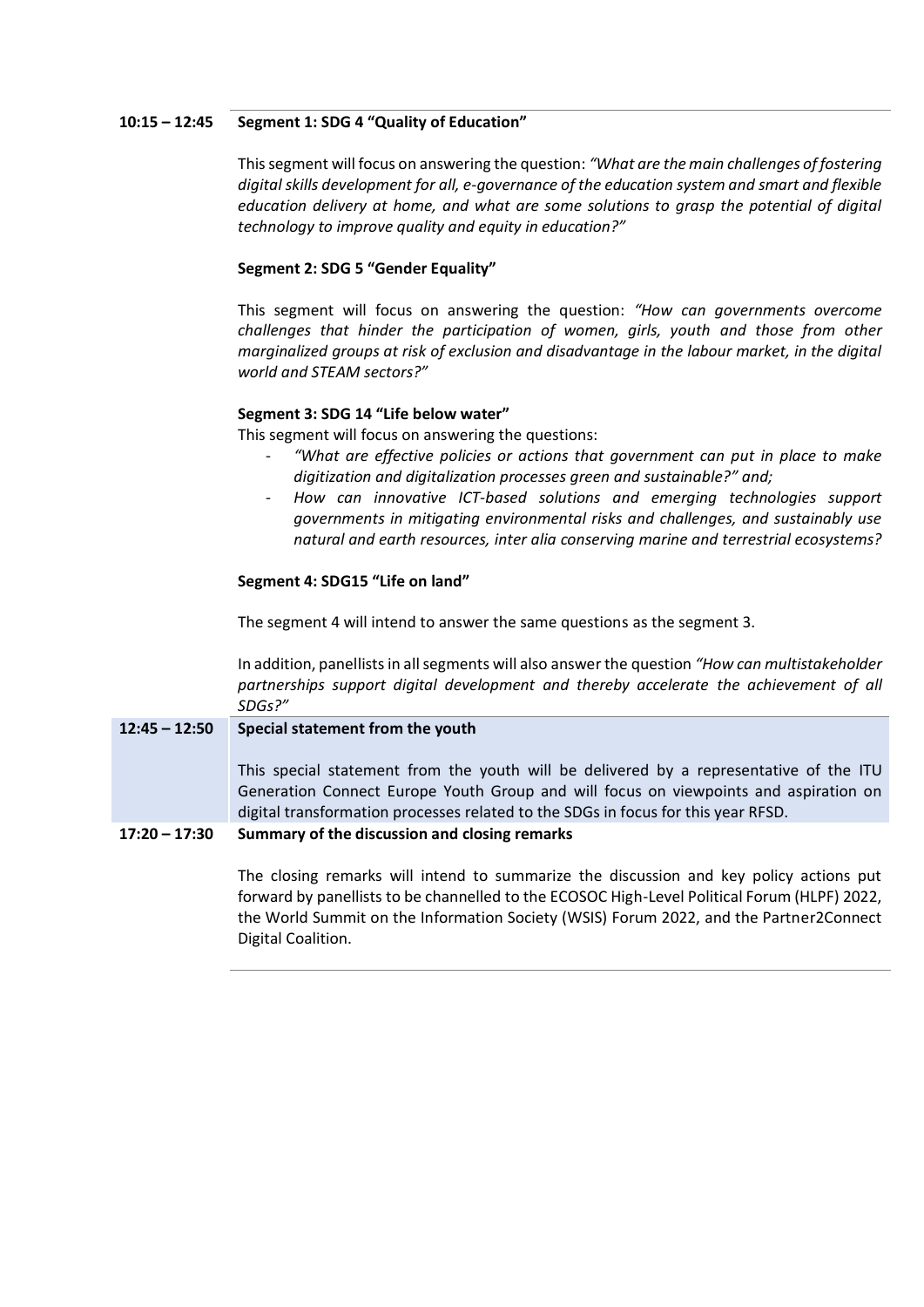#### **10:15 – 12:45 Segment 1: SDG 4 "Quality of Education"**

This segment will focus on answering the question: *"What are the main challenges of fostering digital skills development for all, e-governance of the education system and smart and flexible education delivery at home, and what are some solutions to grasp the potential of digital technology to improve quality and equity in education?"*

## **Segment 2: SDG 5 "Gender Equality"**

This segment will focus on answering the question: *"How can governments overcome challenges that hinder the participation of women, girls, youth and those from other marginalized groups at risk of exclusion and disadvantage in the labour market, in the digital world and STEAM sectors?"*

#### **Segment 3: SDG 14 "Life below water"**

This segment will focus on answering the questions:

- *"What are effective policies or actions that government can put in place to make digitization and digitalization processes green and sustainable?" and;*
- *How can innovative ICT-based solutions and emerging technologies support governments in mitigating environmental risks and challenges, and sustainably use natural and earth resources, inter alia conserving marine and terrestrial ecosystems?*

#### **Segment 4: SDG15 "Life on land"**

The segment 4 will intend to answer the same questions as the segment 3.

In addition, panellists in all segments will also answer the question *"How can multistakeholder*  partnerships support digital development and thereby accelerate the achievement of all *SDGs?"*

## **12:45 – 12:50 Special statement from the youth**

This special statement from the youth will be delivered by a representative of the ITU Generation Connect Europe Youth Group and will focus on viewpoints and aspiration on digital transformation processes related to the SDGs in focus for this year RFSD.

#### **17:20 – 17:30 Summary of the discussion and closing remarks**

The closing remarks will intend to summarize the discussion and key policy actions put forward by panellists to be channelled to the ECOSOC High-Level Political Forum (HLPF) 2022, the World Summit on the Information Society (WSIS) Forum 2022, and the Partner2Connect Digital Coalition.